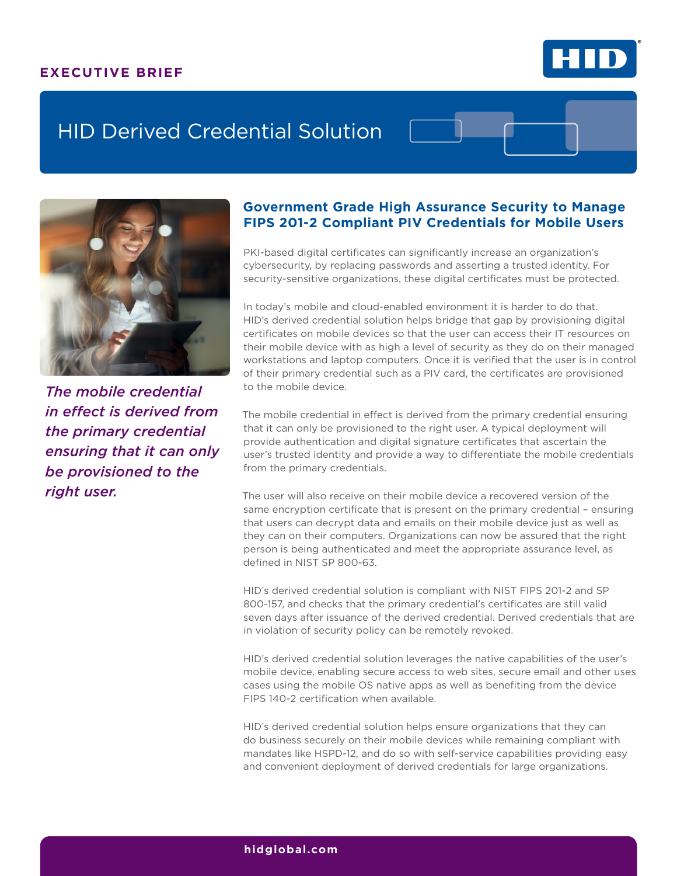### **EXECUTIVE BRIEF**



# HID Derived Credential Solution



*The mobile credential in effect is derived from the primary credential ensuring that it can only be provisioned to the right user.*

## **Government Grade High Assurance Security to Manage FIPS 201-2 Compliant PIV Credentials for Mobile Users**

PKI-based digital certificates can significantly increase an organization's cybersecurity, by replacing passwords and asserting a trusted identity. For security-sensitive organizations, these digital certificates must be protected.

In today's mobile and cloud-enabled environment it is harder to do that. HID's derived credential solution helps bridge that gap by provisioning digital certificates on mobile devices so that the user can access their IT resources on their mobile device with as high a level of security as they do on their managed workstations and laptop computers. Once it is verified that the user is in control of their primary credential such as a PIV card, the certificates are provisioned to the mobile device.

The mobile credential in effect is derived from the primary credential ensuring that it can only be provisioned to the right user. A typical deployment will provide authentication and digital signature certificates that ascertain the user's trusted identity and provide a way to differentiate the mobile credentials from the primary credentials.

The user will also receive on their mobile device a recovered version of the same encryption certificate that is present on the primary credential – ensuring that users can decrypt data and emails on their mobile device just as well as they can on their computers. Organizations can now be assured that the right person is being authenticated and meet the appropriate assurance level, as defined in NIST SP 800-63.

HID's derived credential solution is compliant with NIST FIPS 201-2 and SP 800-157, and checks that the primary credential's certificates are still valid seven days after issuance of the derived credential. Derived credentials that are in violation of security policy can be remotely revoked.

HID's derived credential solution leverages the native capabilities of the user's mobile device, enabling secure access to web sites, secure email and other uses cases using the mobile OS native apps as well as benefiting from the device FIPS 140-2 certification when available.

HID's derived credential solution helps ensure organizations that they can do business securely on their mobile devices while remaining compliant with mandates like HSPD-12, and do so with self-service capabilities providing easy and convenient deployment of derived credentials for large organizations.

#### **hidglobal.com**